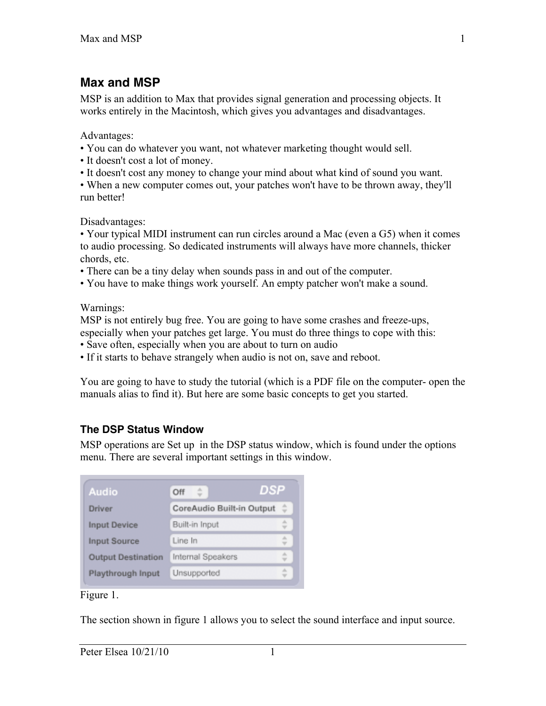# **Max and MSP**

MSP is an addition to Max that provides signal generation and processing objects. It works entirely in the Macintosh, which gives you advantages and disadvantages.

Advantages:

- You can do whatever you want, not whatever marketing thought would sell.
- It doesn't cost a lot of money.
- It doesn't cost any money to change your mind about what kind of sound you want.
- When a new computer comes out, your patches won't have to be thrown away, they'll run better!

Disadvantages:

• Your typical MIDI instrument can run circles around a Mac (even a G5) when it comes to audio processing. So dedicated instruments will always have more channels, thicker chords, etc.

- There can be a tiny delay when sounds pass in and out of the computer.
- You have to make things work yourself. An empty patcher won't make a sound.

Warnings:

MSP is not entirely bug free. You are going to have some crashes and freeze-ups, especially when your patches get large. You must do three things to cope with this:

- Save often, especially when you are about to turn on audio
- If it starts to behave strangely when audio is not on, save and reboot.

You are going to have to study the tutorial (which is a PDF file on the computer- open the manuals alias to find it). But here are some basic concepts to get you started.

## **The DSP Status Window**

MSP operations are Set up in the DSP status window, which is found under the options menu. There are several important settings in this window.

| <b>Audio</b>              | DSP<br>Off                |  |
|---------------------------|---------------------------|--|
| Driver                    | CoreAudio Built-in Output |  |
| <b>Input Device</b>       | Built-in Input            |  |
| Input Source              | Line In                   |  |
| <b>Output Destination</b> | Internal Speakers         |  |
| Playthrough Input         | Unsupported               |  |

#### Figure 1.

The section shown in figure 1 allows you to select the sound interface and input source.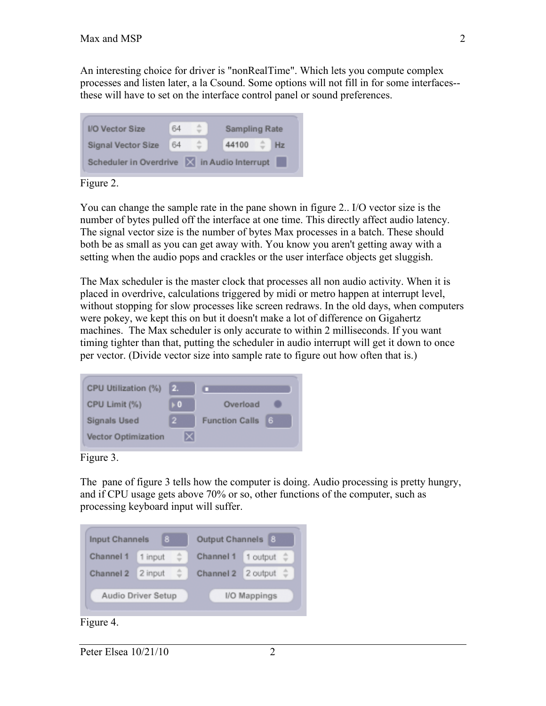An interesting choice for driver is "nonRealTime". Which lets you compute complex processes and listen later, a la Csound. Some options will not fill in for some interfaces- these will have to set on the interface control panel or sound preferences.



Figure 2.

You can change the sample rate in the pane shown in figure 2.. I/O vector size is the number of bytes pulled off the interface at one time. This directly affect audio latency. The signal vector size is the number of bytes Max processes in a batch. These should both be as small as you can get away with. You know you aren't getting away with a setting when the audio pops and crackles or the user interface objects get sluggish.

The Max scheduler is the master clock that processes all non audio activity. When it is placed in overdrive, calculations triggered by midi or metro happen at interrupt level, without stopping for slow processes like screen redraws. In the old days, when computers were pokey, we kept this on but it doesn't make a lot of difference on Gigahertz machines. The Max scheduler is only accurate to within 2 milliseconds. If you want timing tighter than that, putting the scheduler in audio interrupt will get it down to once per vector. (Divide vector size into sample rate to figure out how often that is.)



Figure 3.

The pane of figure 3 tells how the computer is doing. Audio processing is pretty hungry, and if CPU usage gets above 70% or so, other functions of the computer, such as processing keyboard input will suffer.

| Input Channels     | 8       | Output Channels    | 8            |
|--------------------|---------|--------------------|--------------|
| Channel 1          | 1 input | Channel 1          | 1 output     |
| Channel 2          | 2 input | Channel 2 2 output |              |
| Audio Driver Setup |         |                    | I/O Mappings |
|                    |         |                    |              |

Figure 4.

Peter Elsea  $10/21/10$  2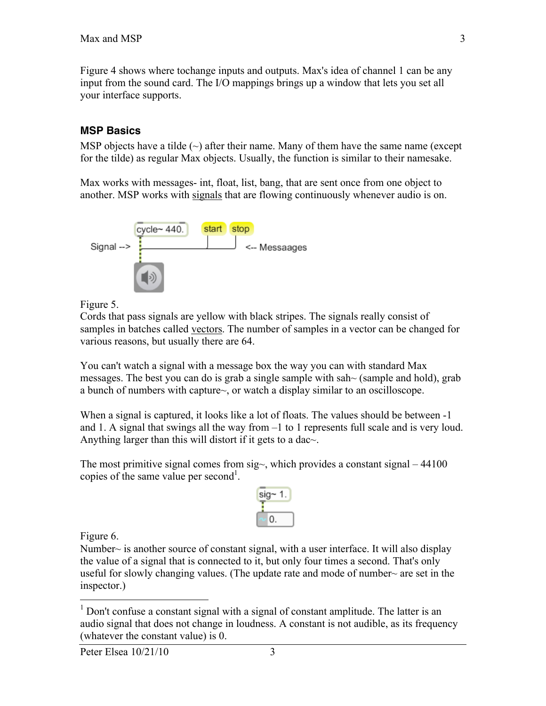Figure 4 shows where tochange inputs and outputs. Max's idea of channel 1 can be any input from the sound card. The I/O mappings brings up a window that lets you set all your interface supports.

#### **MSP Basics**

MSP objects have a tilde  $(\sim)$  after their name. Many of them have the same name (except for the tilde) as regular Max objects. Usually, the function is similar to their namesake.

Max works with messages- int, float, list, bang, that are sent once from one object to another. MSP works with signals that are flowing continuously whenever audio is on.



Figure 5.

Cords that pass signals are yellow with black stripes. The signals really consist of samples in batches called vectors. The number of samples in a vector can be changed for various reasons, but usually there are 64.

You can't watch a signal with a message box the way you can with standard Max messages. The best you can do is grab a single sample with sah $\sim$  (sample and hold), grab a bunch of numbers with capture~, or watch a display similar to an oscilloscope.

When a signal is captured, it looks like a lot of floats. The values should be between -1 and 1. A signal that swings all the way from –1 to 1 represents full scale and is very loud. Anything larger than this will distort if it gets to a dac~.

The most primitive signal comes from  $sig_{\gamma}$ , which provides a constant signal – 44100 copies of the same value per second<sup>1</sup>.



Figure 6.

Number $\sim$  is another source of constant signal, with a user interface. It will also display the value of a signal that is connected to it, but only four times a second. That's only useful for slowly changing values. (The update rate and mode of number $\sim$  are set in the inspector.)

<sup>&</sup>lt;sup>1</sup> Don't confuse a constant signal with a signal of constant amplitude. The latter is an audio signal that does not change in loudness. A constant is not audible, as its frequency (whatever the constant value) is 0.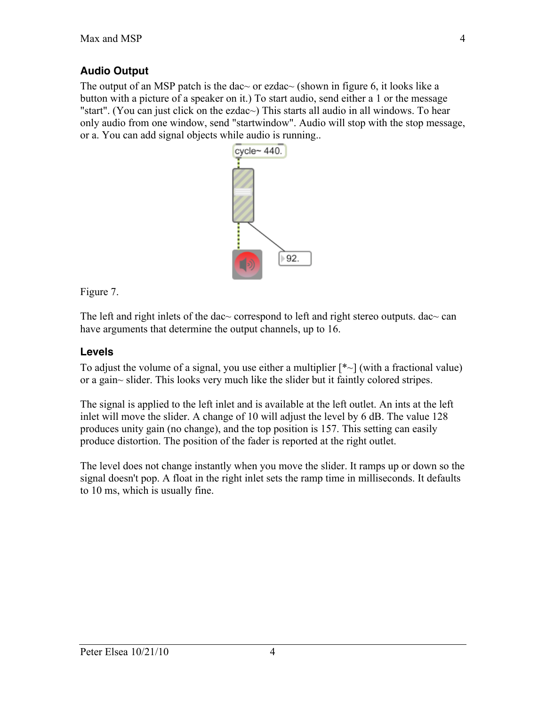### **Audio Output**

The output of an MSP patch is the dac $\sim$  or ezdac $\sim$  (shown in figure 6, it looks like a button with a picture of a speaker on it.) To start audio, send either a 1 or the message "start". (You can just click on the ezdac~) This starts all audio in all windows. To hear only audio from one window, send "startwindow". Audio will stop with the stop message, or a. You can add signal objects while audio is running..



Figure 7.

The left and right inlets of the dac~ correspond to left and right stereo outputs. dac~ can have arguments that determine the output channels, up to 16.

### **Levels**

To adjust the volume of a signal, you use either a multiplier  $[* \sim]$  (with a fractional value) or a gain~ slider. This looks very much like the slider but it faintly colored stripes.

The signal is applied to the left inlet and is available at the left outlet. An ints at the left inlet will move the slider. A change of 10 will adjust the level by 6 dB. The value 128 produces unity gain (no change), and the top position is 157. This setting can easily produce distortion. The position of the fader is reported at the right outlet.

The level does not change instantly when you move the slider. It ramps up or down so the signal doesn't pop. A float in the right inlet sets the ramp time in milliseconds. It defaults to 10 ms, which is usually fine.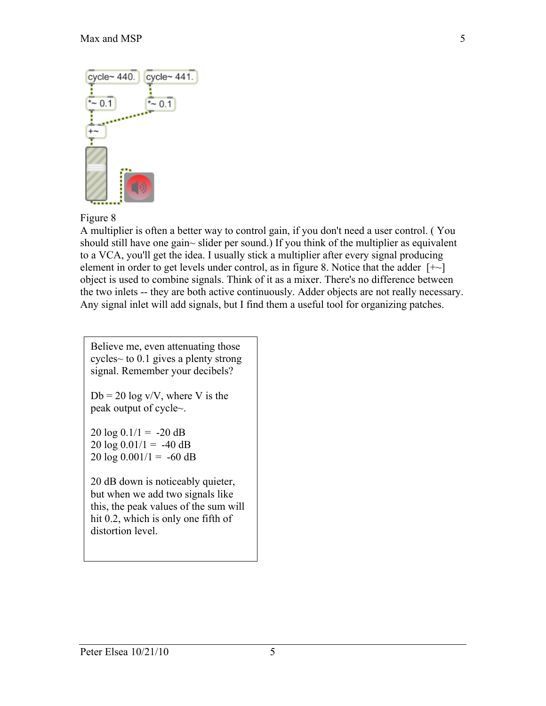

#### Figure 8

A multiplier is often a better way to control gain, if you don't need a user control. ( You should still have one gain~ slider per sound.) If you think of the multiplier as equivalent to a VCA, you'll get the idea. I usually stick a multiplier after every signal producing element in order to get levels under control, as in figure 8. Notice that the adder  $[+ \sim]$ object is used to combine signals. Think of it as a mixer. There's no difference between the two inlets -- they are both active continuously. Adder objects are not really necessary. Any signal inlet will add signals, but I find them a useful tool for organizing patches.

Believe me, even attenuating those cycles~ to 0.1 gives a plenty strong signal. Remember your decibels?

 $Db = 20 \log \frac{V}{V}$ , where V is the peak output of cycle~.

 $20 \log 0.1/1 = -20 dB$  $20 \log 0.01/1 = -40 \text{ dB}$  $20 \log 0.001/1 = -60 \text{ dB}$ 

20 dB down is noticeably quieter, but when we add two signals like this, the peak values of the sum will hit 0.2, which is only one fifth of distortion level.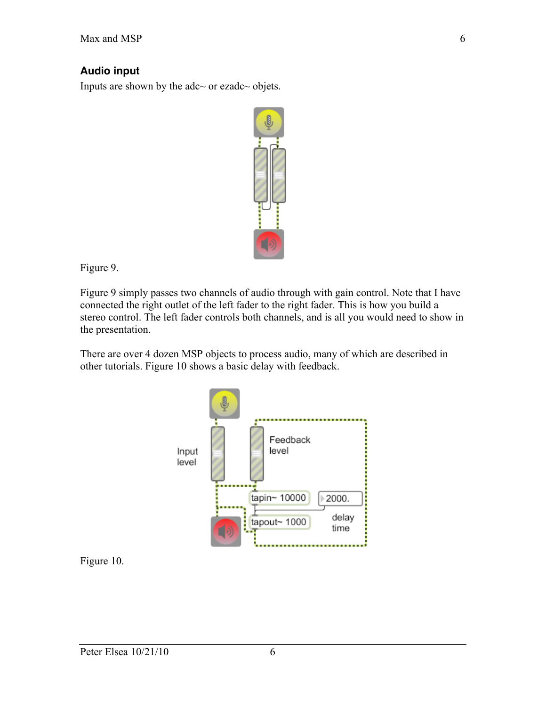#### **Audio input**

Inputs are shown by the adc~ or ezadc~ objets.



Figure 9.

Figure 9 simply passes two channels of audio through with gain control. Note that I have connected the right outlet of the left fader to the right fader. This is how you build a stereo control. The left fader controls both channels, and is all you would need to show in the presentation.

There are over 4 dozen MSP objects to process audio, many of which are described in other tutorials. Figure 10 shows a basic delay with feedback.



Figure 10.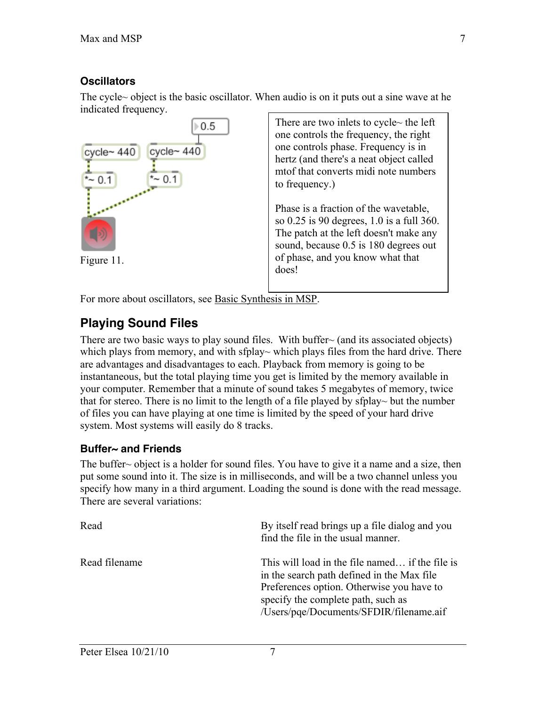### **Oscillators**

The cycle~ object is the basic oscillator. When audio is on it puts out a sine wave at he indicated frequency.

![](_page_6_Figure_3.jpeg)

For more about oscillators, see Basic Synthesis in MSP.

# **Playing Sound Files**

There are two basic ways to play sound files. With buffer $\sim$  (and its associated objects) which plays from memory, and with sfplay~ which plays files from the hard drive. There are advantages and disadvantages to each. Playback from memory is going to be instantaneous, but the total playing time you get is limited by the memory available in your computer. Remember that a minute of sound takes 5 megabytes of memory, twice that for stereo. There is no limit to the length of a file played by sfplay $\sim$  but the number of files you can have playing at one time is limited by the speed of your hard drive system. Most systems will easily do 8 tracks.

## **Buffer~ and Friends**

The buffer  $\sim$  object is a holder for sound files. You have to give it a name and a size, then put some sound into it. The size is in milliseconds, and will be a two channel unless you specify how many in a third argument. Loading the sound is done with the read message. There are several variations:

| Read          | By itself read brings up a file dialog and you<br>find the file in the usual manner.                                                                                                                                        |
|---------------|-----------------------------------------------------------------------------------------------------------------------------------------------------------------------------------------------------------------------------|
| Read filename | This will load in the file named if the file is<br>in the search path defined in the Max file<br>Preferences option. Otherwise you have to<br>specify the complete path, such as<br>/Users/pqe/Documents/SFDIR/filename.aif |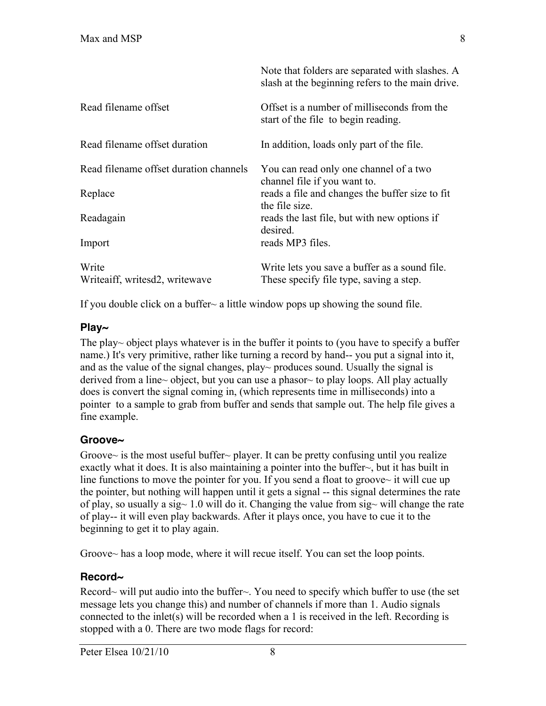|                                         | Note that folders are separated with slashes. A<br>slash at the beginning refers to the main drive. |
|-----------------------------------------|-----------------------------------------------------------------------------------------------------|
| Read filename offset                    | Offset is a number of milliseconds from the<br>start of the file to begin reading.                  |
| Read filename offset duration           | In addition, loads only part of the file.                                                           |
| Read filename offset duration channels  | You can read only one channel of a two<br>channel file if you want to.                              |
| Replace                                 | reads a file and changes the buffer size to fit<br>the file size.                                   |
| Readagain                               | reads the last file, but with new options if<br>desired.                                            |
| Import                                  | reads MP3 files.                                                                                    |
| Write<br>Writeaiff, writesd2, writewave | Write lets you save a buffer as a sound file.<br>These specify file type, saving a step.            |

If you double click on a buffer $\sim$  a little window pops up showing the sound file.

### **Play~**

The play~ object plays whatever is in the buffer it points to (you have to specify a buffer name.) It's very primitive, rather like turning a record by hand-- you put a signal into it, and as the value of the signal changes, play~ produces sound. Usually the signal is derived from a line~ object, but you can use a phasor~ to play loops. All play actually does is convert the signal coming in, (which represents time in milliseconds) into a pointer to a sample to grab from buffer and sends that sample out. The help file gives a fine example.

## **Groove~**

Groove $\sim$  is the most useful buffer $\sim$  player. It can be pretty confusing until you realize exactly what it does. It is also maintaining a pointer into the buffer~, but it has built in line functions to move the pointer for you. If you send a float to groove $\sim$  it will cue up the pointer, but nothing will happen until it gets a signal -- this signal determines the rate of play, so usually a sig~ 1.0 will do it. Changing the value from sig~ will change the rate of play-- it will even play backwards. After it plays once, you have to cue it to the beginning to get it to play again.

Groove~ has a loop mode, where it will recue itself. You can set the loop points.

## **Record~**

Record~ will put audio into the buffer~. You need to specify which buffer to use (the set message lets you change this) and number of channels if more than 1. Audio signals connected to the inlet(s) will be recorded when a 1 is received in the left. Recording is stopped with a 0. There are two mode flags for record: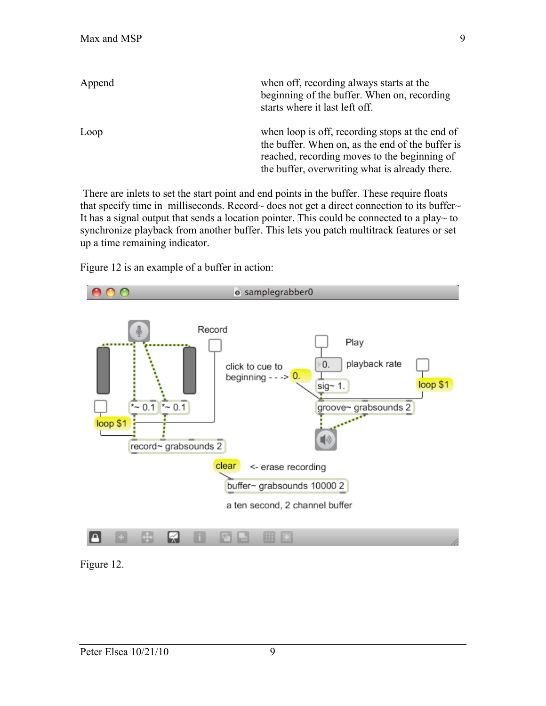| Append | when off, recording always starts at the<br>beginning of the buffer. When on, recording<br>starts where it last left off. |
|--------|---------------------------------------------------------------------------------------------------------------------------|
| Loop   | when loop is off, recording stops at the end of<br>the buffer. When on, as the end of the buffer is                       |
|        | reached, recording moves to the beginning of                                                                              |
|        | the buffer, overwriting what is already there.                                                                            |

 There are inlets to set the start point and end points in the buffer. These require floats that specify time in milliseconds. Record~ does not get a direct connection to its buffer~ It has a signal output that sends a location pointer. This could be connected to a play~ to synchronize playback from another buffer. This lets you patch multitrack features or set up a time remaining indicator.

Figure 12 is an example of a buffer in action:

![](_page_8_Figure_4.jpeg)

Figure 12.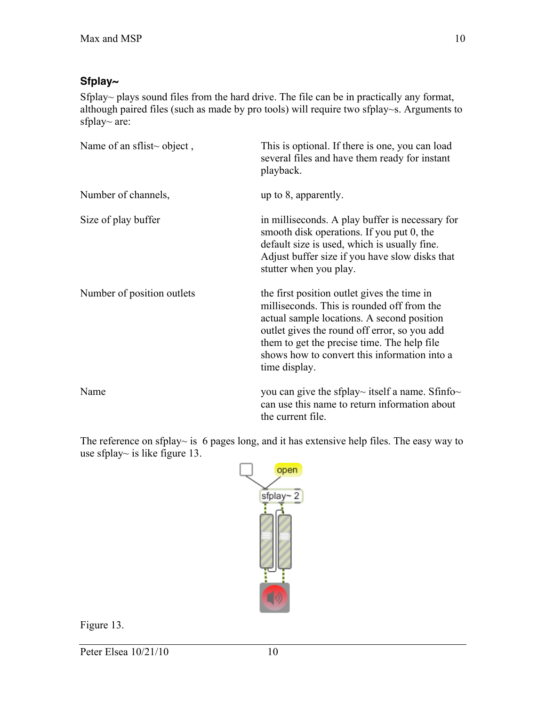#### **Sfplay~**

Sfplay~ plays sound files from the hard drive. The file can be in practically any format, although paired files (such as made by pro tools) will require two sfplay~s. Arguments to sfplay~ are:

| Name of an sflist~ object, | This is optional. If there is one, you can load<br>several files and have them ready for instant<br>playback.                                                                                                                                                                                           |
|----------------------------|---------------------------------------------------------------------------------------------------------------------------------------------------------------------------------------------------------------------------------------------------------------------------------------------------------|
| Number of channels,        | up to 8, apparently.                                                                                                                                                                                                                                                                                    |
| Size of play buffer        | in milliseconds. A play buffer is necessary for<br>smooth disk operations. If you put 0, the<br>default size is used, which is usually fine.<br>Adjust buffer size if you have slow disks that<br>stutter when you play.                                                                                |
| Number of position outlets | the first position outlet gives the time in<br>milliseconds. This is rounded off from the<br>actual sample locations. A second position<br>outlet gives the round off error, so you add<br>them to get the precise time. The help file<br>shows how to convert this information into a<br>time display. |
| Name                       | you can give the sfplay~ itself a name. Sfinfo~<br>can use this name to return information about<br>the current file.                                                                                                                                                                                   |

The reference on sfplay~ is 6 pages long, and it has extensive help files. The easy way to use sfplay~ is like figure 13.

![](_page_9_Figure_5.jpeg)

Figure 13.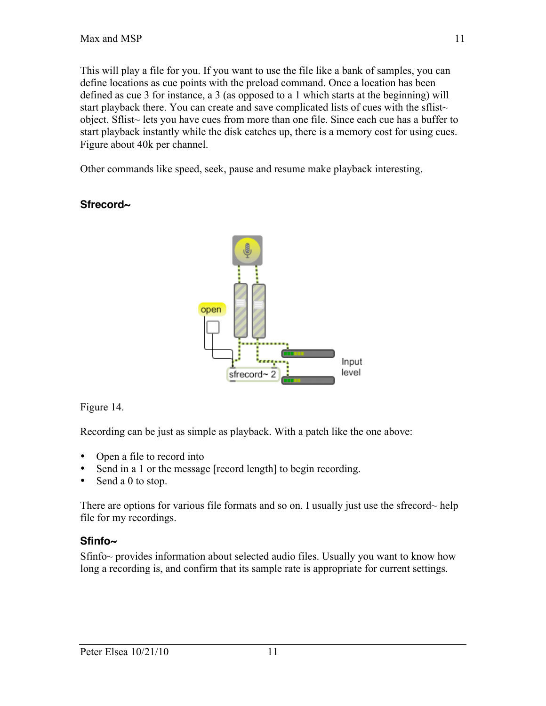This will play a file for you. If you want to use the file like a bank of samples, you can define locations as cue points with the preload command. Once a location has been defined as cue 3 for instance, a 3 (as opposed to a 1 which starts at the beginning) will start playback there. You can create and save complicated lists of cues with the sflist~ object. Sflist~ lets you have cues from more than one file. Since each cue has a buffer to start playback instantly while the disk catches up, there is a memory cost for using cues. Figure about 40k per channel.

Other commands like speed, seek, pause and resume make playback interesting.

### **Sfrecord~**

![](_page_10_Figure_4.jpeg)

Figure 14.

Recording can be just as simple as playback. With a patch like the one above:

- Open a file to record into
- Send in a 1 or the message [record length] to begin recording.
- Send a 0 to stop.

There are options for various file formats and so on. I usually just use the sfrecord~ help file for my recordings.

### **Sfinfo~**

Sfinfo~ provides information about selected audio files. Usually you want to know how long a recording is, and confirm that its sample rate is appropriate for current settings.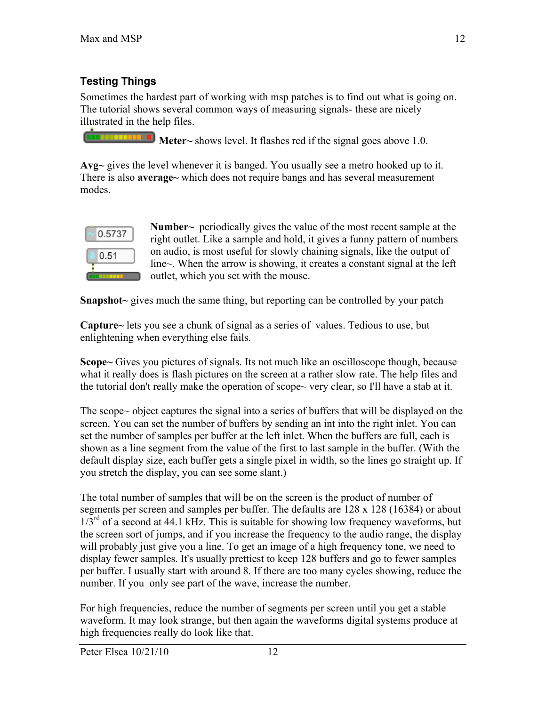# **Testing Things**

Sometimes the hardest part of working with msp patches is to find out what is going on. The tutorial shows several common ways of measuring signals- these are nicely illustrated in the help files.

**Meter**  $\sim$  shows level. It flashes red if the signal goes above 1.0.

Avg~ gives the level whenever it is banged. You usually see a metro hooked up to it. There is also **average** which does not require bangs and has several measurement modes.

![](_page_11_Picture_5.jpeg)

Number~ periodically gives the value of the most recent sample at the right outlet. Like a sample and hold, it gives a funny pattern of numbers on audio, is most useful for slowly chaining signals, like the output of line~. When the arrow is showing, it creates a constant signal at the left outlet, which you set with the mouse.

Snapshot~ gives much the same thing, but reporting can be controlled by your patch

Capture~ lets you see a chunk of signal as a series of values. Tedious to use, but enlightening when everything else fails.

Scope~ Gives you pictures of signals. Its not much like an oscilloscope though, because what it really does is flash pictures on the screen at a rather slow rate. The help files and the tutorial don't really make the operation of scope~ very clear, so I'll have a stab at it.

The scope~ object captures the signal into a series of buffers that will be displayed on the screen. You can set the number of buffers by sending an int into the right inlet. You can set the number of samples per buffer at the left inlet. When the buffers are full, each is shown as a line segment from the value of the first to last sample in the buffer. (With the default display size, each buffer gets a single pixel in width, so the lines go straight up. If you stretch the display, you can see some slant.)

The total number of samples that will be on the screen is the product of number of segments per screen and samples per buffer. The defaults are 128 x 128 (16384) or about  $1/3^{rd}$  of a second at 44.1 kHz. This is suitable for showing low frequency waveforms, but the screen sort of jumps, and if you increase the frequency to the audio range, the display will probably just give you a line. To get an image of a high frequency tone, we need to display fewer samples. It's usually prettiest to keep 128 buffers and go to fewer samples per buffer. I usually start with around 8. If there are too many cycles showing, reduce the number. If you only see part of the wave, increase the number.

For high frequencies, reduce the number of segments per screen until you get a stable waveform. It may look strange, but then again the waveforms digital systems produce at high frequencies really do look like that.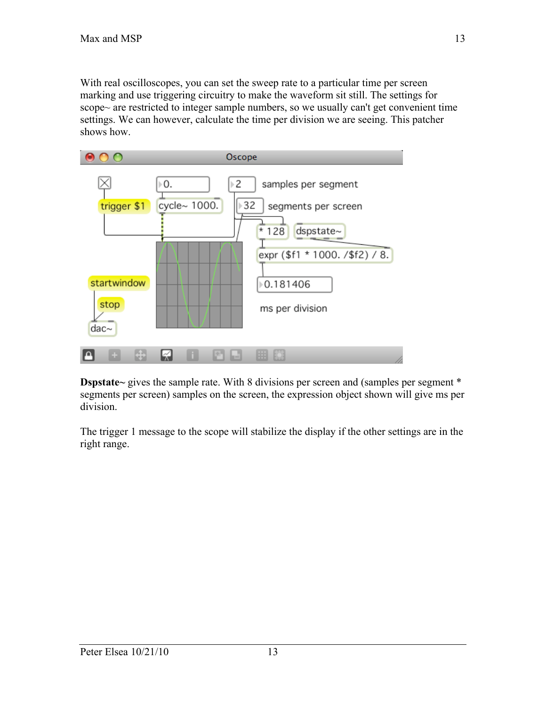With real oscilloscopes, you can set the sweep rate to a particular time per screen marking and use triggering circuitry to make the waveform sit still. The settings for scope~ are restricted to integer sample numbers, so we usually can't get convenient time settings. We can however, calculate the time per division we are seeing. This patcher shows how.

![](_page_12_Figure_2.jpeg)

Dspstate~ gives the sample rate. With 8 divisions per screen and (samples per segment \* segments per screen) samples on the screen, the expression object shown will give ms per division.

The trigger 1 message to the scope will stabilize the display if the other settings are in the right range.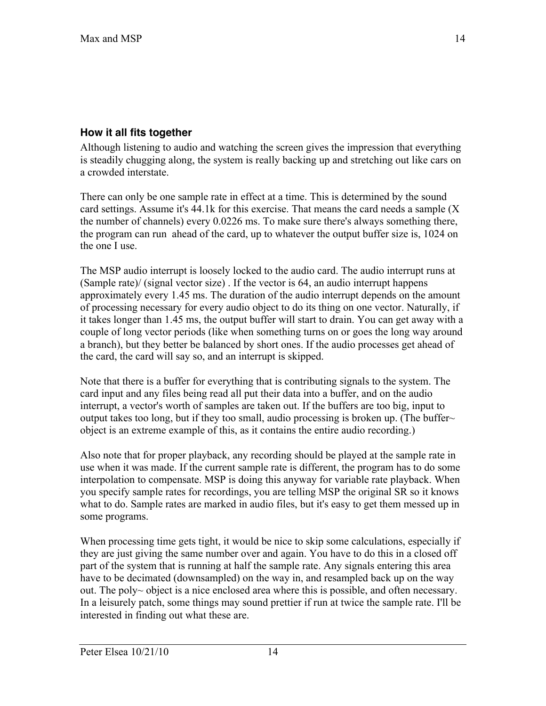#### **How it all fits together**

Although listening to audio and watching the screen gives the impression that everything is steadily chugging along, the system is really backing up and stretching out like cars on a crowded interstate.

There can only be one sample rate in effect at a time. This is determined by the sound card settings. Assume it's 44.1k for this exercise. That means the card needs a sample (X the number of channels) every 0.0226 ms. To make sure there's always something there, the program can run ahead of the card, up to whatever the output buffer size is, 1024 on the one I use.

The MSP audio interrupt is loosely locked to the audio card. The audio interrupt runs at (Sample rate)/ (signal vector size) . If the vector is 64, an audio interrupt happens approximately every 1.45 ms. The duration of the audio interrupt depends on the amount of processing necessary for every audio object to do its thing on one vector. Naturally, if it takes longer than 1.45 ms, the output buffer will start to drain. You can get away with a couple of long vector periods (like when something turns on or goes the long way around a branch), but they better be balanced by short ones. If the audio processes get ahead of the card, the card will say so, and an interrupt is skipped.

Note that there is a buffer for everything that is contributing signals to the system. The card input and any files being read all put their data into a buffer, and on the audio interrupt, a vector's worth of samples are taken out. If the buffers are too big, input to output takes too long, but if they too small, audio processing is broken up. (The buffer~ object is an extreme example of this, as it contains the entire audio recording.)

Also note that for proper playback, any recording should be played at the sample rate in use when it was made. If the current sample rate is different, the program has to do some interpolation to compensate. MSP is doing this anyway for variable rate playback. When you specify sample rates for recordings, you are telling MSP the original SR so it knows what to do. Sample rates are marked in audio files, but it's easy to get them messed up in some programs.

When processing time gets tight, it would be nice to skip some calculations, especially if they are just giving the same number over and again. You have to do this in a closed off part of the system that is running at half the sample rate. Any signals entering this area have to be decimated (downsampled) on the way in, and resampled back up on the way out. The poly~ object is a nice enclosed area where this is possible, and often necessary. In a leisurely patch, some things may sound prettier if run at twice the sample rate. I'll be interested in finding out what these are.